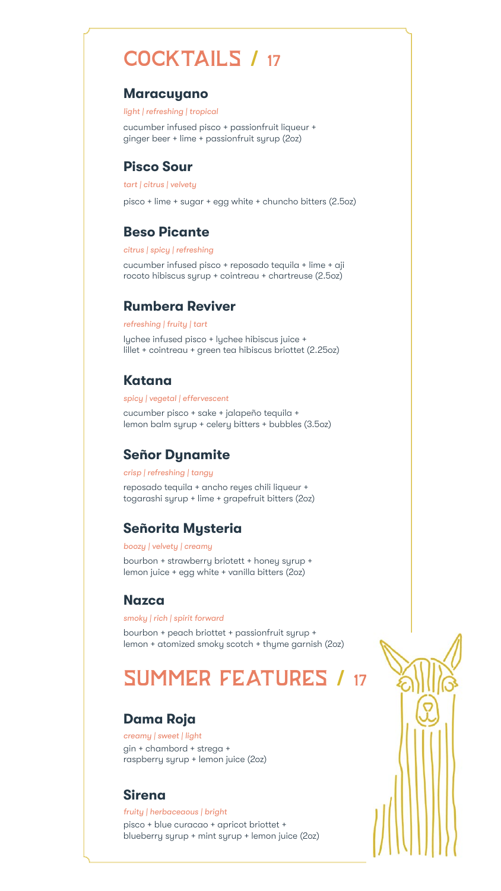# COCKTAILS / 17

#### **Maracuyano**

*light | refreshing | tropical* 

cucumber infused pisco + passionfruit liqueur + ginger beer + lime + passionfruit syrup (2oz)

#### **Pisco Sour**

*tart | citrus | velvety* 

pisco + lime + sugar + egg white + chuncho bitters (2.5oz)

#### **Beso Picante**

*citrus | spicy | refreshing* 

cucumber infused pisco + reposado tequila + lime + aji rocoto hibiscus syrup + cointreau + chartreuse (2.5oz)

#### **Rumbera Reviver**

#### *refreshing | fruity | tart*

lychee infused pisco + lychee hibiscus juice + lillet + cointreau + green tea hibiscus briottet (2.25oz)

#### **Katana**

*spicy | vegetal | effervescent*

cucumber pisco + sake + jalapeño tequila + lemon balm syrup + celery bitters + bubbles (3.5oz)

#### **Señor Dynamite**

#### *crisp | refreshing | tangy*

reposado tequila + ancho reyes chili liqueur + togarashi syrup + lime + grapefruit bitters (2oz)

## **Señorita Mysteria**

#### *boozy | velvety | creamy*

bourbon + strawberry briotett + honey syrup + lemon juice + egg white + vanilla bitters (2oz)

#### **Nazca**

#### *smoky | rich | spirit forward*

bourbon + peach briottet + passionfruit syrup + lemon + atomized smoky scotch + thyme garnish (2oz)

# SUMMER FEATURES / 17

# **Dama Roja**

*creamy | sweet | light* gin + chambord + strega + raspberry syrup + lemon juice (2oz)

## **Sirena**

#### *fruity | herbaceaous | bright*

pisco + blue curacao + apricot briottet + blueberry syrup + mint syrup + lemon juice (2oz)



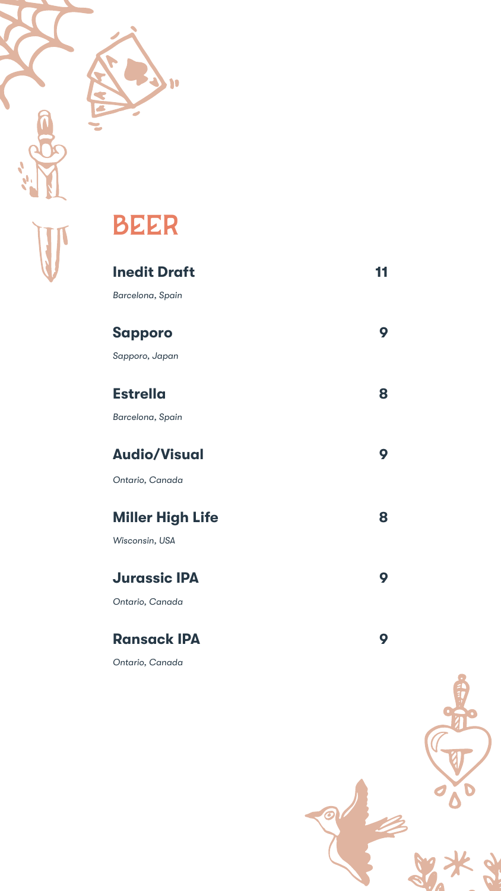



# **Inedit Draft 11 11**

*Barcelona, Spain*

# Sapporo 9

*Sapporo, Japan*

## **Estrella 8**

*Barcelona, Spain*

## **Audio/Visual 9**

*Ontario, Canada*

# **Miller High Life 8**

*Wisconsin, USA*

#### **Jurassic IPA 9**

*Ontario, Canada*

#### **Ransack IPA 9**

*Ontario, Canada*



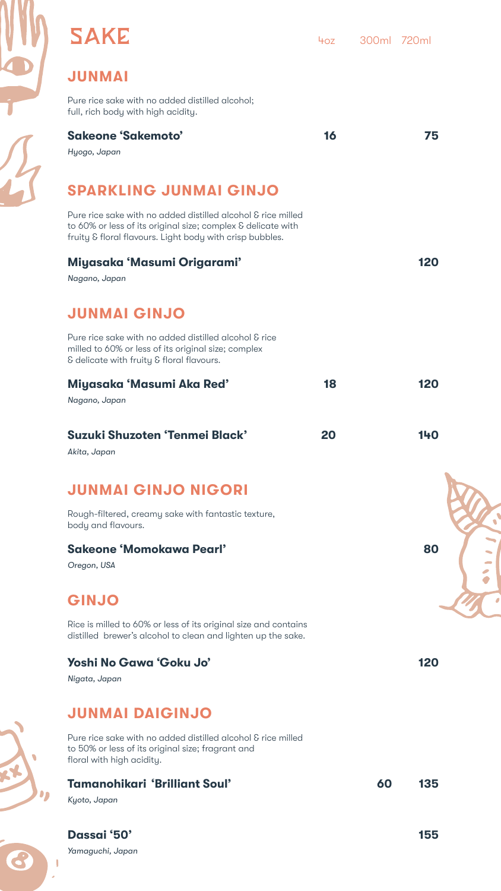

SAKE 40Z 40Z 300ml 720ml

# **JUNMAI**

Pure rice sake with no added distilled alcohol; full, rich body with high acidity.

#### **Sakeone 'Sakemoto' 16 75**

*Hyogo, Japan* 

# **SPARKLING JUNMAI GINJO**

Pure rice sake with no added distilled alcohol & rice milled to 60% or less of its original size; complex & delicate with fruity & floral flavours. Light body with crisp bubbles.

#### **Miyasaka 'Masumi Origarami' 120**

*Nagano, Japan* 

# **JUNMAI GINJO**

Pure rice sake with no added distilled alcohol & rice milled to 60% or less of its original size; complex & delicate with fruity & floral flavours.

#### **Miyasaka 'Masumi Aka Red' 18 120**

*Nagano, Japan* 

#### **Suzuki Shuzoten 'Tenmei Black' 20 140**

*Akita, Japan* 

# **JUNMAI GINJO NIGORI**

Rough-filtered, creamy sake with fantastic texture, body and flavours.

#### **Sakeone 'Momokawa Pearl' 80**

*Oregon, USA* 

# **GINJO**

Rice is milled to 60% or less of its original size and contains distilled brewer's alcohol to clean and lighten up the sake.

#### **Yoshi No Gawa 'Goku Jo' 120**

*Nigata, Japan* 

#### **JUNMAI DAIGINJO**

Pure rice sake with no added distilled alcohol & rice milled to 50% or less of its original size; fragrant and floral with high acidity.

#### **Tamanohikari 'Brilliant Soul' 60 135**

*Kyoto, Japan* 

#### **Dassai '50' 155**









*Yamaguchi, Japan*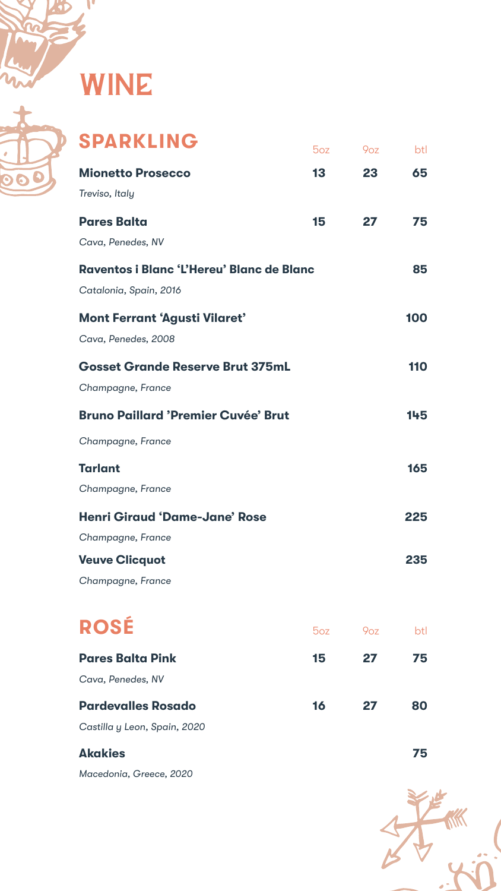

WINE



| SPARKLING                                        | $5$ oz | 9 <sub>oz</sub> | btl |
|--------------------------------------------------|--------|-----------------|-----|
| <b>Mionetto Prosecco</b>                         | 13     | 23              | 65  |
| Treviso, Italy                                   |        |                 |     |
| <b>Pares Balta</b>                               | 15     | <b>27</b>       | 75  |
| Cava, Penedes, NV                                |        |                 |     |
| <b>Raventos i Blanc 'L'Hereu' Blanc de Blanc</b> |        |                 | 85  |
| Catalonia, Spain, 2016                           |        |                 |     |
| <b>Mont Ferrant 'Agusti Vilaret'</b>             |        |                 | 100 |
| Cava, Penedes, 2008                              |        |                 |     |
| <b>Gosset Grande Reserve Brut 375mL</b>          |        |                 | 110 |
| Champagne, France                                |        |                 |     |
| <b>Bruno Paillard 'Premier Cuvée' Brut</b>       |        |                 | 145 |
| Champagne, France                                |        |                 |     |
| <b>Tarlant</b>                                   |        |                 | 165 |
| Champagne, France                                |        |                 |     |
| <b>Henri Giraud 'Dame-Jane' Rose</b>             |        |                 | 225 |
| Champagne, France                                |        |                 |     |
| <b>Veuve Clicquot</b>                            |        |                 | 235 |
| Champagne, France                                |        |                 |     |
|                                                  |        |                 |     |
| ROSÉ                                             | 50Z    | 9 <sub>oz</sub> | btl |
| <b>Pares Balta Pink</b>                          | 15     | 27              | 75  |
| Cava, Penedes, NV                                |        |                 |     |
| <b>Pardevalles Rosado</b>                        | 16     | 27              | 80  |
| Castilla y Leon, Spain, 2020                     |        |                 |     |
| <b>Akakies</b>                                   |        |                 | 75  |
| Macedonia, Greece, 2020                          |        |                 |     |

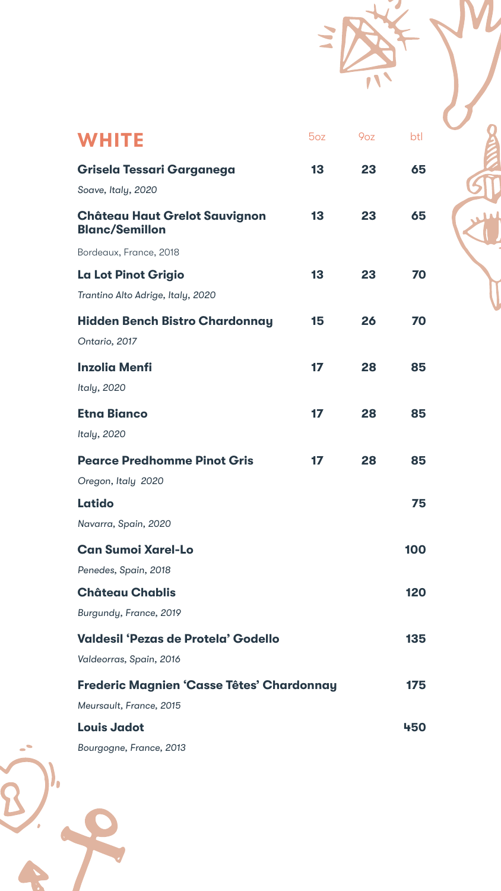| WHITE                                                         | 5oz | 9 <sub>oz</sub> | btl |  |
|---------------------------------------------------------------|-----|-----------------|-----|--|
| <b>Grisela Tessari Garganega</b>                              | 13  | 23              | 65  |  |
| Soave, Italy, 2020                                            |     |                 |     |  |
| <b>Château Haut Grelot Sauvignon</b><br><b>Blanc/Semillon</b> | 13  | 23              | 65  |  |
| Bordeaux, France, 2018                                        |     |                 |     |  |
| <b>La Lot Pinot Grigio</b>                                    | 13  | 23              | 70  |  |
| Trantino Alto Adrige, Italy, 2020                             |     |                 |     |  |
| <b>Hidden Bench Bistro Chardonnay</b>                         | 15  | 26              | 70  |  |
| Ontario, 2017                                                 |     |                 |     |  |
| <b>Inzolia Menfi</b>                                          | 17  | 28              | 85  |  |
| Italy, 2020                                                   |     |                 |     |  |
| <b>Etna Bianco</b>                                            | 17  | 28              | 85  |  |

 $\overline{\phantom{a}}$ 

| LUU DIUIIVV                                      |    | LV | $\bullet$ |
|--------------------------------------------------|----|----|-----------|
| Italy, 2020                                      |    |    |           |
| <b>Pearce Predhomme Pinot Gris</b>               | 17 | 28 | 85        |
| Oregon, Italy 2020                               |    |    |           |
| Latido                                           |    |    | 75        |
| Navarra, Spain, 2020                             |    |    |           |
| <b>Can Sumoi Xarel-Lo</b>                        |    |    | 100       |
| Penedes, Spain, 2018                             |    |    |           |
| <b>Château Chablis</b>                           |    |    | 120       |
| Burgundy, France, 2019                           |    |    |           |
| <b>Valdesil 'Pezas de Protela' Godello</b>       |    |    | 135       |
| Valdeorras, Spain, 2016                          |    |    |           |
| <b>Frederic Magnien 'Casse Têtes' Chardonnay</b> |    |    | 175       |
| Meursault, France, 2015                          |    |    |           |
| <b>Louis Jadot</b>                               |    |    | 450       |
| Bourgogne, France, 2013                          |    |    |           |
|                                                  |    |    |           |



 $\bullet$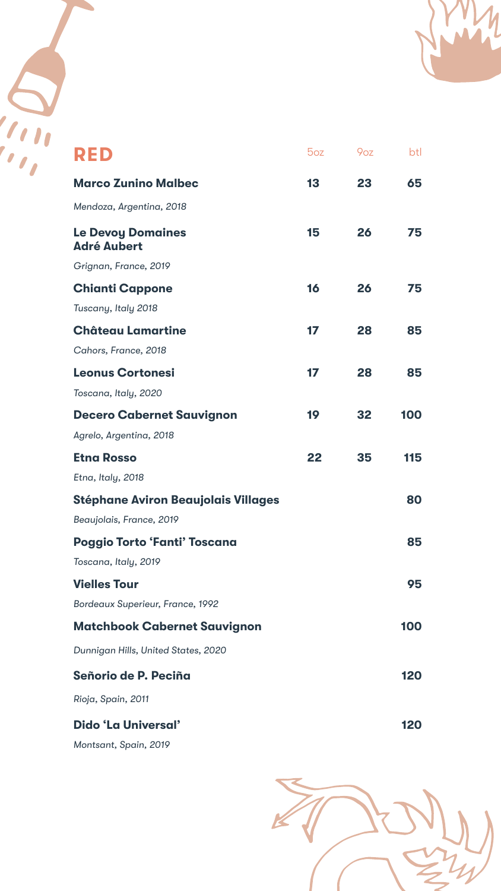

| RED                                            | 5oz | 9 <sub>oz</sub> | btl |
|------------------------------------------------|-----|-----------------|-----|
| <b>Marco Zunino Malbec</b>                     | 13  | 23              | 65  |
| Mendoza, Argentina, 2018                       |     |                 |     |
| <b>Le Devoy Domaines</b><br><b>Adré Aubert</b> | 15  | 26              | 75  |
| Grignan, France, 2019                          |     |                 |     |
| <b>Chianti Cappone</b>                         | 16  | 26              | 75  |
| Tuscany, Italy 2018                            |     |                 |     |
| <b>Château Lamartine</b>                       | 17  | 28              | 85  |
| Cahors, France, 2018                           |     |                 |     |
| <b>Leonus Cortonesi</b>                        | 17  | 28              | 85  |
| Toscana, Italy, 2020                           |     |                 |     |
| <b>Decero Cabernet Sauvianon</b>               | 19  | 32              | 100 |

|    |    | IVV                      |
|----|----|--------------------------|
|    |    |                          |
| 22 | 35 | 115                      |
|    |    |                          |
|    |    | 80                       |
|    |    |                          |
|    |    | 85                       |
|    |    |                          |
|    |    | 95                       |
|    |    |                          |
|    |    | 100                      |
|    |    |                          |
|    |    | 120                      |
|    |    |                          |
|    |    | 120                      |
|    |    |                          |
|    |    | $\overline{\phantom{a}}$ |